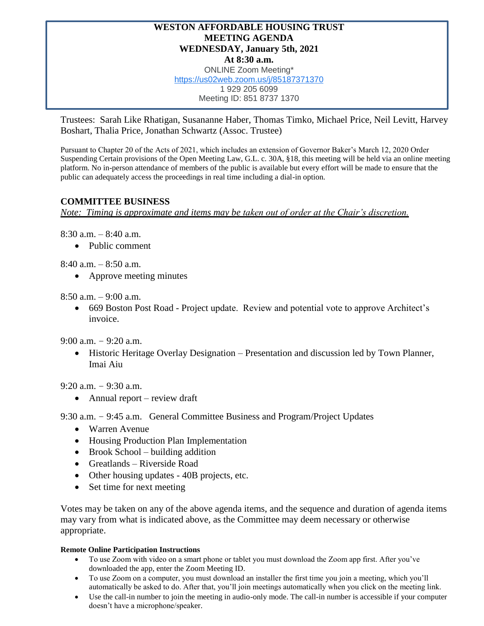## **WESTON AFFORDABLE HOUSING TRUST MEETING AGENDA WEDNESDAY, January 5th, 2021 At 8:30 a.m.** ONLINE Zoom Meeting\* [https://us02web.zoom.us/j/85187371370](https://www.google.com/url?q=https://us02web.zoom.us/j/85187371370&sa=D&source=calendar&ust=1641136553468655&usg=AOvVaw2CpYptJ6XmF3LWhACukUkr) 1 929 205 6099

Meeting ID: 851 8737 1370

Trustees: Sarah Like Rhatigan, Susananne Haber, Thomas Timko, Michael Price, Neil Levitt, Harvey Boshart, Thalia Price, Jonathan Schwartz (Assoc. Trustee)

Pursuant to Chapter 20 of the Acts of 2021, which includes an extension of Governor Baker's March 12, 2020 Order Suspending Certain provisions of the Open Meeting Law, G.L. c. 30A, §18, this meeting will be held via an online meeting platform. No in-person attendance of members of the public is available but every effort will be made to ensure that the public can adequately access the proceedings in real time including a dial-in option.

## **COMMITTEE BUSINESS**

*Note: Timing is approximate and items may be taken out of order at the Chair's discretion.*

8:30 a.m. – 8:40 a.m.

• Public comment

8:40 a.m. – 8:50 a.m.

• Approve meeting minutes

8:50 a.m. – 9:00 a.m.

• 669 Boston Post Road - Project update. Review and potential vote to approve Architect's invoice.

9:00 a.m. – 9:20 a.m.

• Historic Heritage Overlay Designation – Presentation and discussion led by Town Planner, Imai Aiu

9:20 a.m. – 9:30 a.m.

• Annual report – review draft

9:30 a.m. – 9:45 a.m. General Committee Business and Program/Project Updates

- Warren Avenue
- Housing Production Plan Implementation
- Brook School building addition
- Greatlands Riverside Road
- Other housing updates 40B projects, etc.
- Set time for next meeting

Votes may be taken on any of the above agenda items, and the sequence and duration of agenda items may vary from what is indicated above, as the Committee may deem necessary or otherwise appropriate.

## **Remote Online Participation Instructions**

- To use Zoom with video on a smart phone or tablet you must download the Zoom app first. After you've downloaded the app, enter the Zoom Meeting ID.
- To use Zoom on a computer, you must download an installer the first time you join a meeting, which you'll automatically be asked to do. After that, you'll join meetings automatically when you click on the meeting link.
- Use the call-in number to join the meeting in audio-only mode. The call-in number is accessible if your computer doesn't have a microphone/speaker.